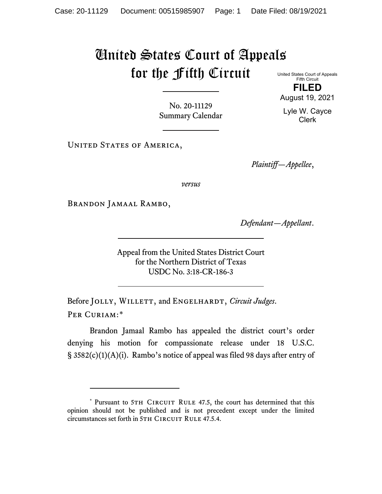## United States Court of Appeals for the Fifth Circuit United States Court of Appeals

Fifth Circuit **FILED**

No. 20-11129 Summary Calendar

UNITED STATES OF AMERICA,

*Plaintiff—Appellee*,

*versus*

Brandon Jamaal Rambo,

*Defendant—Appellant*.

Appeal from the United States District Court for the Northern District of Texas USDC No. 3:18-CR-186-3

Before JOLLY, WILLETT, and ENGELHARDT, *Circuit Judges*. Per Curiam:[\\*](#page-0-0)

Brandon Jamaal Rambo has appealed the district court's order denying his motion for compassionate release under 18 U.S.C. § 3582(c)(1)(A)(i). Rambo's notice of appeal was filed 98 days after entry of

August 19, 2021 Lyle W. Cayce Clerk

<span id="page-0-0"></span><sup>\*</sup> Pursuant to 5TH CIRCUIT RULE 47.5, the court has determined that this opinion should not be published and is not precedent except under the limited circumstances set forth in 5TH CIRCUIT RULE 47.5.4.